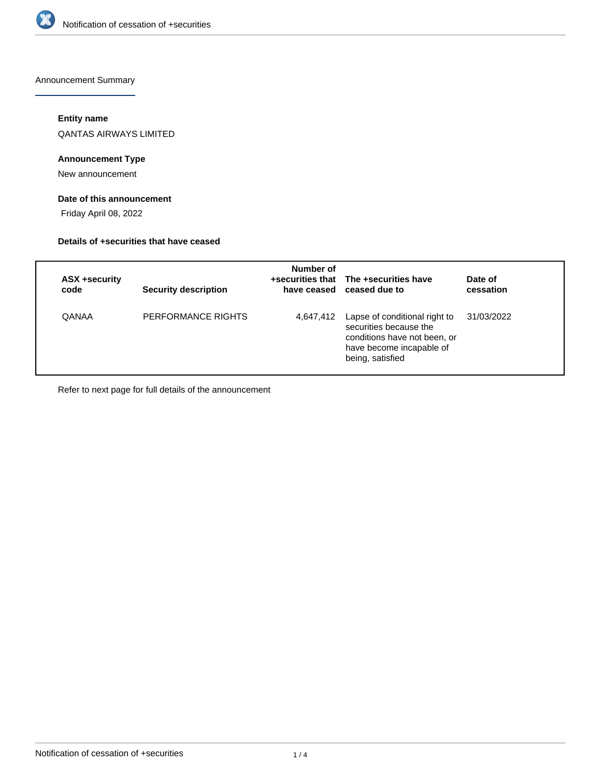

Announcement Summary

# **Entity name**

QANTAS AIRWAYS LIMITED

# **Announcement Type**

New announcement

## **Date of this announcement**

Friday April 08, 2022

#### **Details of +securities that have ceased**

| ASX +security<br>code | <b>Security description</b> | Number of | +securities that The +securities have<br>have ceased ceased due to                                                                      | Date of<br>cessation |
|-----------------------|-----------------------------|-----------|-----------------------------------------------------------------------------------------------------------------------------------------|----------------------|
| QANAA                 | PERFORMANCE RIGHTS          | 4,647,412 | Lapse of conditional right to<br>securities because the<br>conditions have not been, or<br>have become incapable of<br>being, satisfied | 31/03/2022           |

Refer to next page for full details of the announcement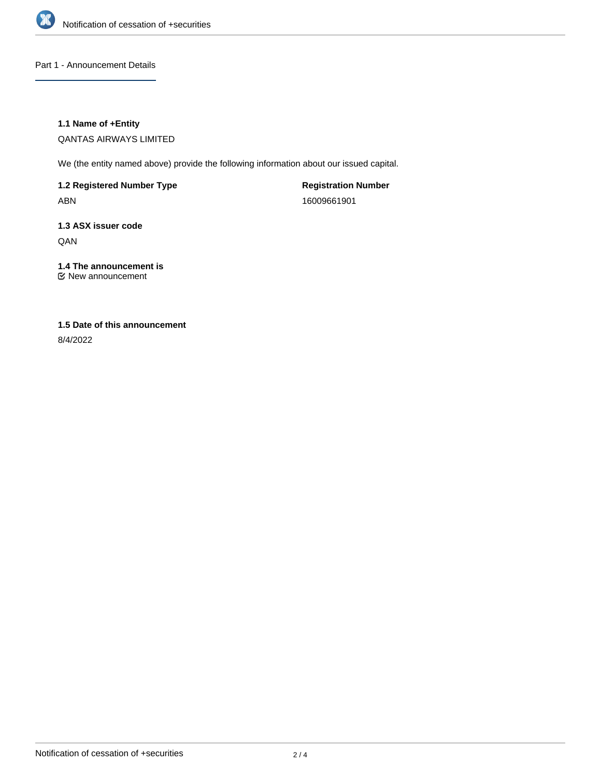

Part 1 - Announcement Details

## **1.1 Name of +Entity**

QANTAS AIRWAYS LIMITED

We (the entity named above) provide the following information about our issued capital.

**1.2 Registered Number Type** ABN

**Registration Number** 16009661901

# **1.3 ASX issuer code** QAN

# **1.4 The announcement is**

New announcement

# **1.5 Date of this announcement**

8/4/2022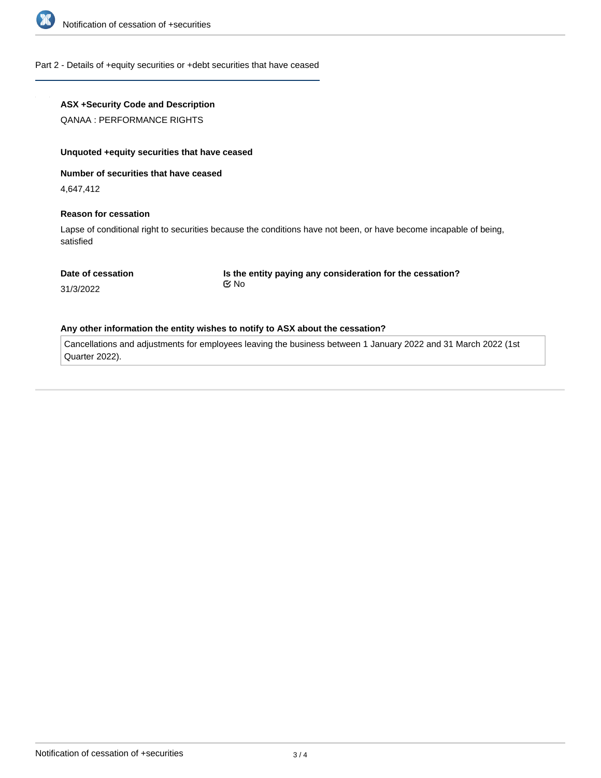

#### Part 2 - Details of +equity securities or +debt securities that have ceased

## **ASX +Security Code and Description**

QANAA : PERFORMANCE RIGHTS

#### **Unquoted +equity securities that have ceased**

**Number of securities that have ceased**

4,647,412

#### **Reason for cessation**

Lapse of conditional right to securities because the conditions have not been, or have become incapable of being, satisfied

#### **Date of cessation**

**Is the entity paying any consideration for the cessation?** No

31/3/2022

#### **Any other information the entity wishes to notify to ASX about the cessation?**

Cancellations and adjustments for employees leaving the business between 1 January 2022 and 31 March 2022 (1st Quarter 2022).